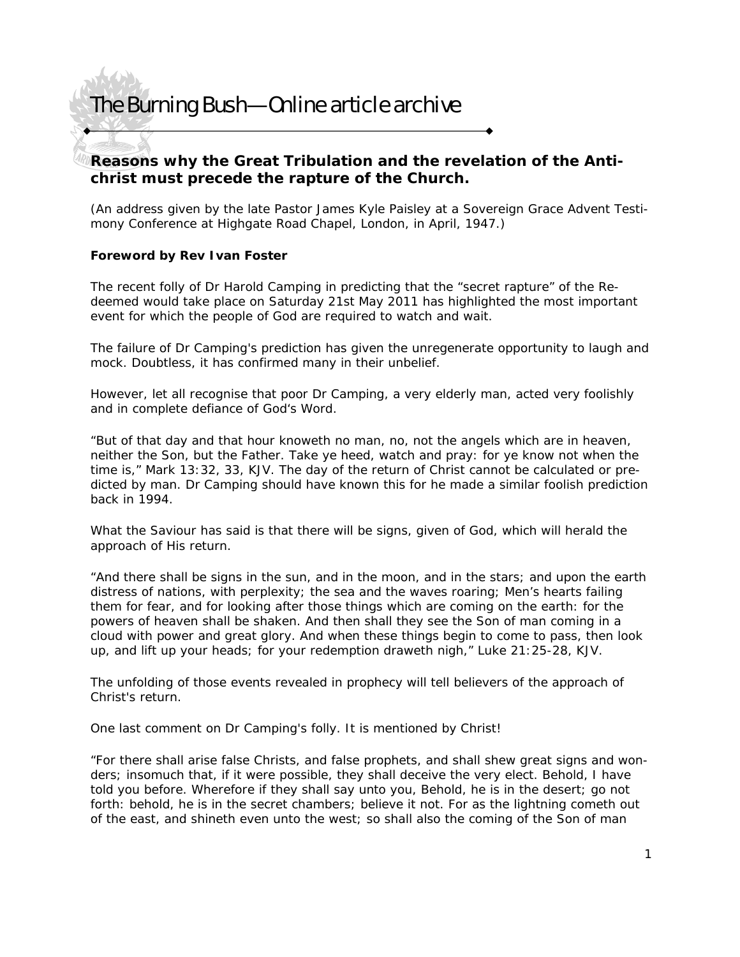### **Reasons why the Great Tribulation and the revelation of the Antichrist must precede the rapture of the Church.**

(An address given by the late Pastor James Kyle Paisley at a Sovereign Grace Advent Testimony Conference at Highgate Road Chapel, London, in April, 1947.)

### **Foreword by Rev Ivan Foster**

The recent folly of Dr Harold Camping in predicting that the "secret rapture" of the Redeemed would take place on Saturday 21st May 2011 has highlighted the most important event for which the people of God are required to watch and wait.

The failure of Dr Camping's prediction has given the unregenerate opportunity to laugh and mock. Doubtless, it has confirmed many in their unbelief.

However, let all recognise that poor Dr Camping, a very elderly man, acted very foolishly and in complete defiance of God's Word.

"But of that day and that hour knoweth no man, no, not the angels which are in heaven, neither the Son, but the Father. Take ye heed, watch and pray: for ye know not when the time is," Mark 13:32, 33, KJV. The day of the return of Christ cannot be calculated or predicted by man. Dr Camping should have known this for he made a similar foolish prediction back in 1994.

What the Saviour has said is that there will be signs, given of God, which will herald the approach of His return.

"And there shall be signs in the sun, and in the moon, and in the stars; and upon the earth distress of nations, with perplexity; the sea and the waves roaring; Men's hearts failing them for fear, and for looking after those things which are coming on the earth: for the powers of heaven shall be shaken. And then shall they see the Son of man coming in a cloud with power and great glory. And when these things begin to come to pass, then look up, and lift up your heads; for your redemption draweth nigh," Luke 21:25-28, KJV.

The unfolding of those events revealed in prophecy will tell believers of the approach of Christ's return.

One last comment on Dr Camping's folly. It is mentioned by Christ!

"For there shall arise false Christs, and false prophets, and shall shew great signs and wonders; insomuch that, if it were possible, they shall deceive the very elect. Behold, I have told you before. Wherefore if they shall say unto you, Behold, he is in the desert; go not forth: behold, he is in the secret chambers; believe it not. For as the lightning cometh out of the east, and shineth even unto the west; so shall also the coming of the Son of man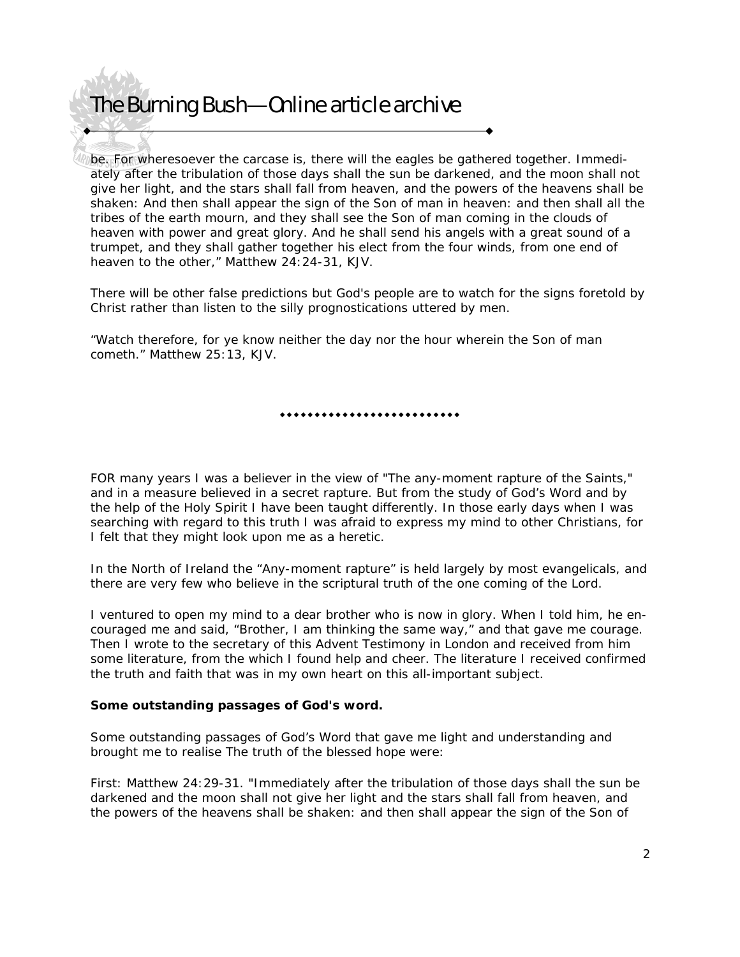be. For wheresoever the carcase is, there will the eagles be gathered together. Immediately after the tribulation of those days shall the sun be darkened, and the moon shall not give her light, and the stars shall fall from heaven, and the powers of the heavens shall be shaken: And then shall appear the sign of the Son of man in heaven: and then shall all the tribes of the earth mourn, and they shall see the Son of man coming in the clouds of heaven with power and great glory. And he shall send his angels with a great sound of a trumpet, and they shall gather together his elect from the four winds, from one end of heaven to the other," Matthew 24:24-31, KJV.

There will be other false predictions but God's people are to watch for the signs foretold by Christ rather than listen to the silly prognostications uttered by men.

"Watch therefore, for ye know neither the day nor the hour wherein the Son of man cometh." Matthew 25:13, KJV.

..........................

FOR many years I was a believer in the view of "The any-moment rapture of the Saints," and in a measure believed in a secret rapture. But from the study of God's Word and by the help of the Holy Spirit I have been taught differently. In those early days when I was searching with regard to this truth I was afraid to express my mind to other Christians, for I felt that they might look upon me as a heretic.

In the North of Ireland the "Any-moment rapture" is held largely by most evangelicals, and there are very few who believe in the scriptural truth of the one coming of the Lord.

I ventured to open my mind to a dear brother who is now in glory. When I told him, he encouraged me and said, "Brother, I am thinking the same way," and that gave me courage. Then I wrote to the secretary of this Advent Testimony in London and received from him some literature, from the which I found help and cheer. The literature I received confirmed the truth and faith that was in my own heart on this all-important subject.

#### **Some outstanding passages of God's word.**

Some outstanding passages of God's Word that gave me light and understanding and brought me to realise The truth of the blessed hope were:

First: Matthew 24:29-31. "Immediately after the tribulation of those days shall the sun be darkened and the moon shall not give her light and the stars shall fall from heaven, and the powers of the heavens shall be shaken: and then shall appear the sign of the Son of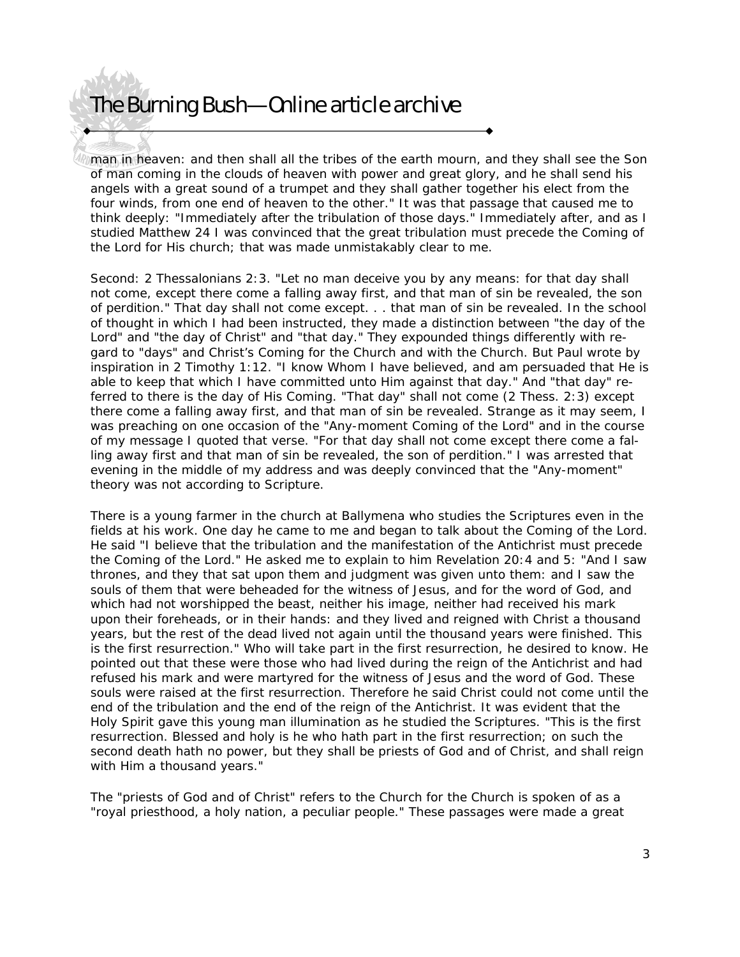man in heaven: and then shall all the tribes of the earth mourn, and they shall see the Son of man coming in the clouds of heaven with power and great glory, and he shall send his angels with a great sound of a trumpet and they shall gather together his elect from the four winds, from one end of heaven to the other." It was that passage that caused me to think deeply: "Immediately after the tribulation of those days." Immediately after, and as I studied Matthew 24 I was convinced that the great tribulation must precede the Coming of the Lord for His church; that was made unmistakably clear to me.

Second: 2 Thessalonians 2:3. "Let no man deceive you by any means: for that day shall not come, except there come a falling away first, and that man of sin be revealed, the son of perdition." That day shall not come except. . . that man of sin be revealed. In the school of thought in which I had been instructed, they made a distinction between "the day of the Lord" and "the day of Christ" and "that day." They expounded things differently with regard to "days" and Christ's Coming for the Church and with the Church. But Paul wrote by inspiration in 2 Timothy 1:12. "I know Whom I have believed, and am persuaded that He is able to keep that which I have committed unto Him against that day." And "that day" referred to there is the day of His Coming. "That day" shall not come (2 Thess. 2:3) except there come a falling away first, and that man of sin be revealed. Strange as it may seem, I was preaching on one occasion of the "Any-moment Coming of the Lord" and in the course of my message I quoted that verse. "For that day shall not come except there come a falling away first and that man of sin be revealed, the son of perdition." I was arrested that evening in the middle of my address and was deeply convinced that the "Any-moment" theory was not according to Scripture.

There is a young farmer in the church at Ballymena who studies the Scriptures even in the fields at his work. One day he came to me and began to talk about the Coming of the Lord. He said "I believe that the tribulation and the manifestation of the Antichrist must precede the Coming of the Lord." He asked me to explain to him Revelation 20:4 and 5: "And I saw thrones, and they that sat upon them and judgment was given unto them: and I saw the souls of them that were beheaded for the witness of Jesus, and for the word of God, and which had not worshipped the beast, neither his image, neither had received his mark upon their foreheads, or in their hands: and they lived and reigned with Christ a thousand years, but the rest of the dead lived not again until the thousand years were finished. This is the first resurrection." Who will take part in the first resurrection, he desired to know. He pointed out that these were those who had lived during the reign of the Antichrist and had refused his mark and were martyred for the witness of Jesus and the word of God. These souls were raised at the first resurrection. Therefore he said Christ could not come until the end of the tribulation and the end of the reign of the Antichrist. It was evident that the Holy Spirit gave this young man illumination as he studied the Scriptures. "This is the first resurrection. Blessed and holy is he who hath part in the first resurrection; on such the second death hath no power, but they shall be priests of God and of Christ, and shall reign with Him a thousand years."

The "priests of God and of Christ" refers to the Church for the Church is spoken of as a "royal priesthood, a holy nation, a peculiar people." These passages were made a great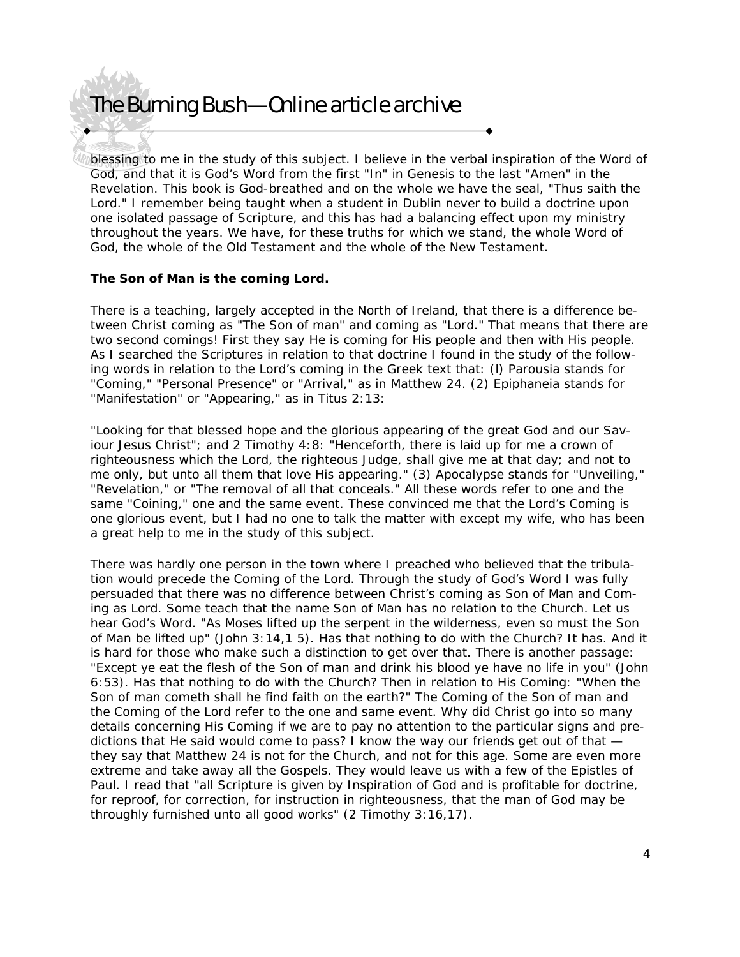blessing to me in the study of this subject. I believe in the verbal inspiration of the Word of God, and that it is God's Word from the first "In" in Genesis to the last "Amen" in the Revelation. This book is God-breathed and on the whole we have the seal, "Thus saith the Lord." I remember being taught when a student in Dublin never to build a doctrine upon one isolated passage of Scripture, and this has had a balancing effect upon my ministry throughout the years. We have, for these truths for which we stand, the whole Word of God, the whole of the Old Testament and the whole of the New Testament.

#### **The Son of Man is the coming Lord.**

There is a teaching, largely accepted in the North of Ireland, that there is a difference between Christ coming as "The Son of man" and coming as "Lord." That means that there are two second comings! First they say He is coming for His people and then with His people. As I searched the Scriptures in relation to that doctrine I found in the study of the following words in relation to the Lord's coming in the Greek text that: (l) Parousia stands for "Coming," "Personal Presence" or "Arrival," as in Matthew 24. (2) Epiphaneia stands for "Manifestation" or "Appearing," as in Titus 2:13:

"Looking for that blessed hope and the glorious appearing of the great God and our Saviour Jesus Christ"; and 2 Timothy 4:8: "Henceforth, there is laid up for me a crown of righteousness which the Lord, the righteous Judge, shall give me at that day; and not to me only, but unto all them that love His appearing." (3) Apocalypse stands for "Unveiling," "Revelation," or "The removal of all that conceals." All these words refer to one and the same "Coining," one and the same event. These convinced me that the Lord's Coming is one glorious event, but I had no one to talk the matter with except my wife, who has been a great help to me in the study of this subject.

There was hardly one person in the town where I preached who believed that the tribulation would precede the Coming of the Lord. Through the study of God's Word I was fully persuaded that there was no difference between Christ's coming as Son of Man and Coming as Lord. Some teach that the name Son of Man has no relation to the Church. Let us hear God's Word. "As Moses lifted up the serpent in the wilderness, even so must the Son of Man be lifted up" (John 3:14,1 5). Has that nothing to do with the Church? It has. And it is hard for those who make such a distinction to get over that. There is another passage: "Except ye eat the flesh of the Son of man and drink his blood ye have no life in you" (John 6:53). Has that nothing to do with the Church? Then in relation to His Coming: "When the Son of man cometh shall he find faith on the earth?" The Coming of the Son of man and the Coming of the Lord refer to the one and same event. Why did Christ go into so many details concerning His Coming if we are to pay no attention to the particular signs and predictions that He said would come to pass? I know the way our friends get out of that they say that Matthew 24 is not for the Church, and not for this age. Some are even more extreme and take away all the Gospels. They would leave us with a few of the Epistles of Paul. I read that "all Scripture is given by Inspiration of God and is profitable for doctrine, for reproof, for correction, for instruction in righteousness, that the man of God may be throughly furnished unto all good works" (2 Timothy 3:16,17).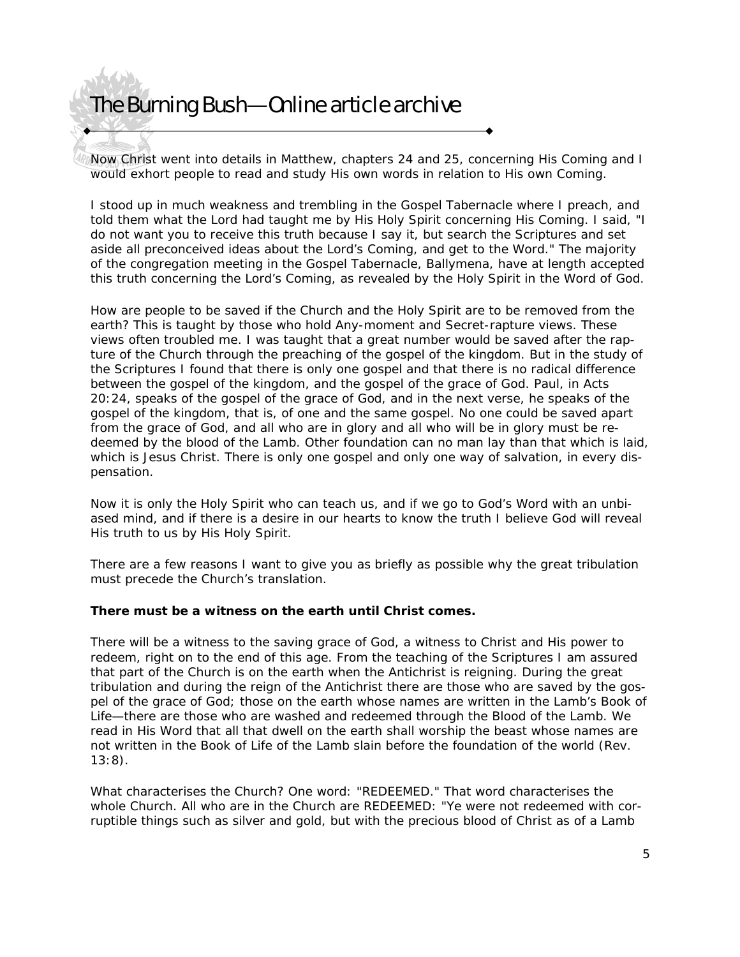Now Christ went into details in Matthew, chapters 24 and 25, concerning His Coming and I would exhort people to read and study His own words in relation to His own Coming.

I stood up in much weakness and trembling in the Gospel Tabernacle where I preach, and told them what the Lord had taught me by His Holy Spirit concerning His Coming. I said, "I do not want you to receive this truth because I say it, but search the Scriptures and set aside all preconceived ideas about the Lord's Coming, and get to the Word." The majority of the congregation meeting in the Gospel Tabernacle, Ballymena, have at length accepted this truth concerning the Lord's Coming, as revealed by the Holy Spirit in the Word of God.

How are people to be saved if the Church and the Holy Spirit are to be removed from the earth? This is taught by those who hold Any-moment and Secret-rapture views. These views often troubled me. I was taught that a great number would be saved after the rapture of the Church through the preaching of the gospel of the kingdom. But in the study of the Scriptures I found that there is only one gospel and that there is no radical difference between the gospel of the kingdom, and the gospel of the grace of God. Paul, in Acts 20:24, speaks of the gospel of the grace of God, and in the next verse, he speaks of the gospel of the kingdom, that is, of one and the same gospel. No one could be saved apart from the grace of God, and all who are in glory and all who will be in glory must be redeemed by the blood of the Lamb. Other foundation can no man lay than that which is laid, which is Jesus Christ. There is only one gospel and only one way of salvation, in every dispensation.

Now it is only the Holy Spirit who can teach us, and if we go to God's Word with an unbiased mind, and if there is a desire in our hearts to know the truth I believe God will reveal His truth to us by His Holy Spirit.

There are a few reasons I want to give you as briefly as possible why the great tribulation must precede the Church's translation.

### **There must be a witness on the earth until Christ comes.**

There will be a witness to the saving grace of God, a witness to Christ and His power to redeem, right on to the end of this age. From the teaching of the Scriptures I am assured that part of the Church is on the earth when the Antichrist is reigning. During the great tribulation and during the reign of the Antichrist there are those who are saved by the gospel of the grace of God; those on the earth whose names are written in the Lamb's Book of Life—there are those who are washed and redeemed through the Blood of the Lamb. We read in His Word that all that dwell on the earth shall worship the beast whose names are not written in the Book of Life of the Lamb slain before the foundation of the world (Rev. 13:8).

What characterises the Church? One word: "REDEEMED." That word characterises the whole Church. All who are in the Church are REDEEMED: "Ye were not redeemed with corruptible things such as silver and gold, but with the precious blood of Christ as of a Lamb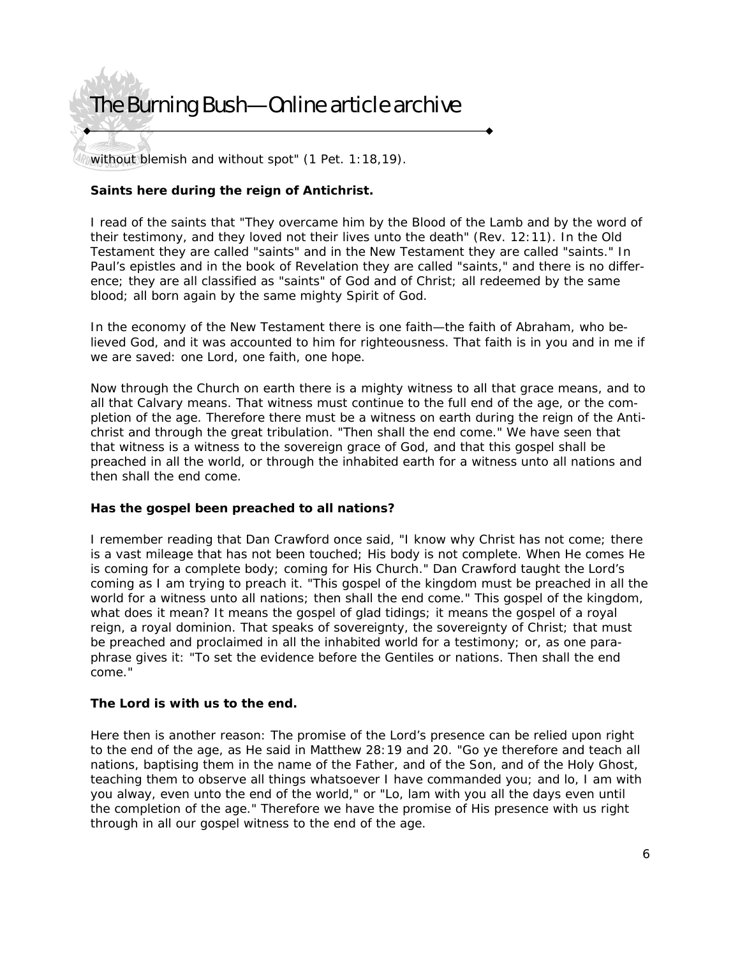without blemish and without spot" (1 Pet. 1:18,19).

### **Saints here during the reign of Antichrist.**

I read of the saints that "They overcame him by the Blood of the Lamb and by the word of their testimony, and they loved not their lives unto the death" (Rev. 12:11). In the Old Testament they are called "saints" and in the New Testament they are called "saints." In Paul's epistles and in the book of Revelation they are called "saints," and there is no difference; they are all classified as "saints" of God and of Christ; all redeemed by the same blood; all born again by the same mighty Spirit of God.

In the economy of the New Testament there is one faith—the faith of Abraham, who believed God, and it was accounted to him for righteousness. That faith is in you and in me if we are saved: one Lord, one faith, one hope.

Now through the Church on earth there is a mighty witness to all that grace means, and to all that Calvary means. That witness must continue to the full end of the age, or the completion of the age. Therefore there must be a witness on earth during the reign of the Antichrist and through the great tribulation. "Then shall the end come." We have seen that that witness is a witness to the sovereign grace of God, and that this gospel shall be preached in all the world, or through the inhabited earth for a witness unto all nations and then shall the end come.

### **Has the gospel been preached to all nations?**

I remember reading that Dan Crawford once said, "I know why Christ has not come; there is a vast mileage that has not been touched; His body is not complete. When He comes He is coming for a complete body; coming for His Church." Dan Crawford taught the Lord's coming as I am trying to preach it. "This gospel of the kingdom must be preached in all the world for a witness unto all nations; then shall the end come." This gospel of the kingdom, what does it mean? It means the gospel of glad tidings; it means the gospel of a royal reign, a royal dominion. That speaks of sovereignty, the sovereignty of Christ; that must be preached and proclaimed in all the inhabited world for a testimony; or, as one paraphrase gives it: "To set the evidence before the Gentiles or nations. Then shall the end come."

#### **The Lord is with us to the end.**

Here then is another reason: The promise of the Lord's presence can be relied upon right to the end of the age, as He said in Matthew 28:19 and 20. "Go ye therefore and teach all nations, baptising them in the name of the Father, and of the Son, and of the Holy Ghost, teaching them to observe all things whatsoever I have commanded you; and lo, I am with you alway, even unto the end of the world," or "Lo, lam with you all the days even until the completion of the age." Therefore we have the promise of His presence with us right through in all our gospel witness to the end of the age.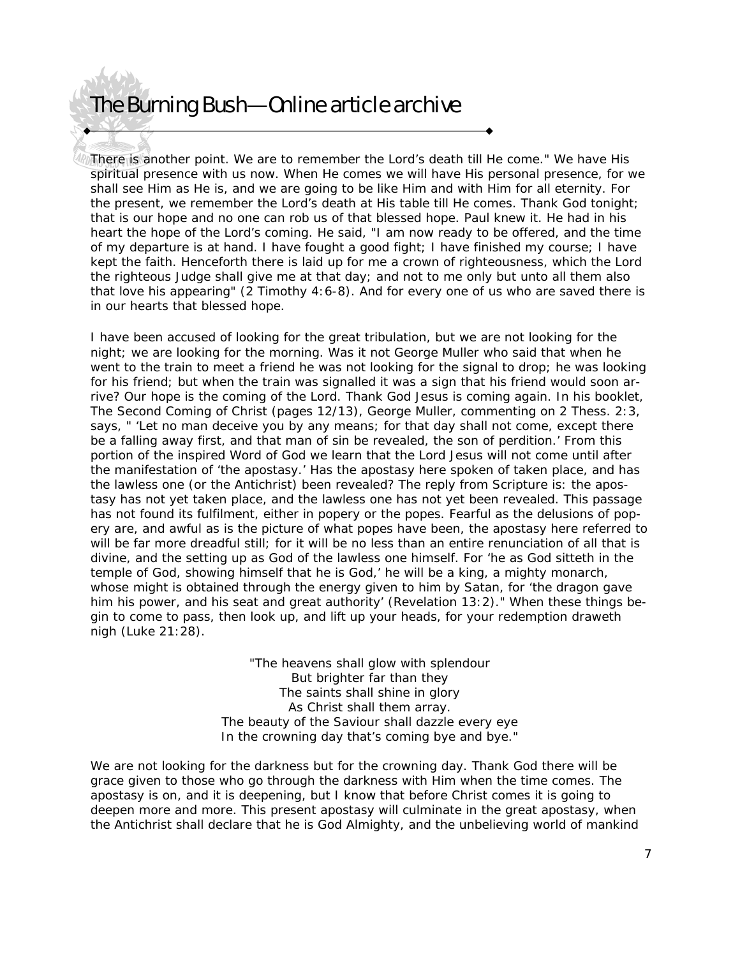There is another point. We are to remember the Lord's death till He come." We have His spiritual presence with us now. When He comes we will have His personal presence, for we shall see Him as He is, and we are going to be like Him and with Him for all eternity. For the present, we remember the Lord's death at His table till He comes. Thank God tonight; that is our hope and no one can rob us of that blessed hope. Paul knew it. He had in his heart the hope of the Lord's coming. He said, "I am now ready to be offered, and the time of my departure is at hand. I have fought a good fight; I have finished my course; I have kept the faith. Henceforth there is laid up for me a crown of righteousness, which the Lord the righteous Judge shall give me at that day; and not to me only but unto all them also that love his appearing" (2 Timothy 4:6-8). And for every one of us who are saved there is in our hearts that blessed hope.

I have been accused of looking for the great tribulation, but we are not looking for the night; we are looking for the morning. Was it not George Muller who said that when he went to the train to meet a friend he was not looking for the signal to drop; he was looking for his friend; but when the train was signalled it was a sign that his friend would soon arrive? Our hope is the coming of the Lord. Thank God Jesus is coming again. In his booklet, The Second Coming of Christ (pages 12/13), George Muller, commenting on 2 Thess. 2:3, says, " 'Let no man deceive you by any means; for that day shall not come, except there be a falling away first, and that man of sin be revealed, the son of perdition.' From this portion of the inspired Word of God we learn that the Lord Jesus will not come until after the manifestation of 'the apostasy.' Has the apostasy here spoken of taken place, and has the lawless one (or the Antichrist) been revealed? The reply from Scripture is: the apostasy has not yet taken place, and the lawless one has not yet been revealed. This passage has not found its fulfilment, either in popery or the popes. Fearful as the delusions of popery are, and awful as is the picture of what popes have been, the apostasy here referred to will be far more dreadful still; for it will be no less than an entire renunciation of all that is divine, and the setting up as God of the lawless one himself. For 'he as God sitteth in the temple of God, showing himself that he is God,' he will be a king, a mighty monarch, whose might is obtained through the energy given to him by Satan, for 'the dragon gave him his power, and his seat and great authority' (Revelation 13:2)." When these things begin to come to pass, then look up, and lift up your heads, for your redemption draweth nigh (Luke 21:28).

> "The heavens shall glow with splendour But brighter far than they The saints shall shine in glory As Christ shall them array. The beauty of the Saviour shall dazzle every eye In the crowning day that's coming bye and bye."

We are not looking for the darkness but for the crowning day. Thank God there will be grace given to those who go through the darkness with Him when the time comes. The apostasy is on, and it is deepening, but I know that before Christ comes it is going to deepen more and more. This present apostasy will culminate in the great apostasy, when the Antichrist shall declare that he is God Almighty, and the unbelieving world of mankind